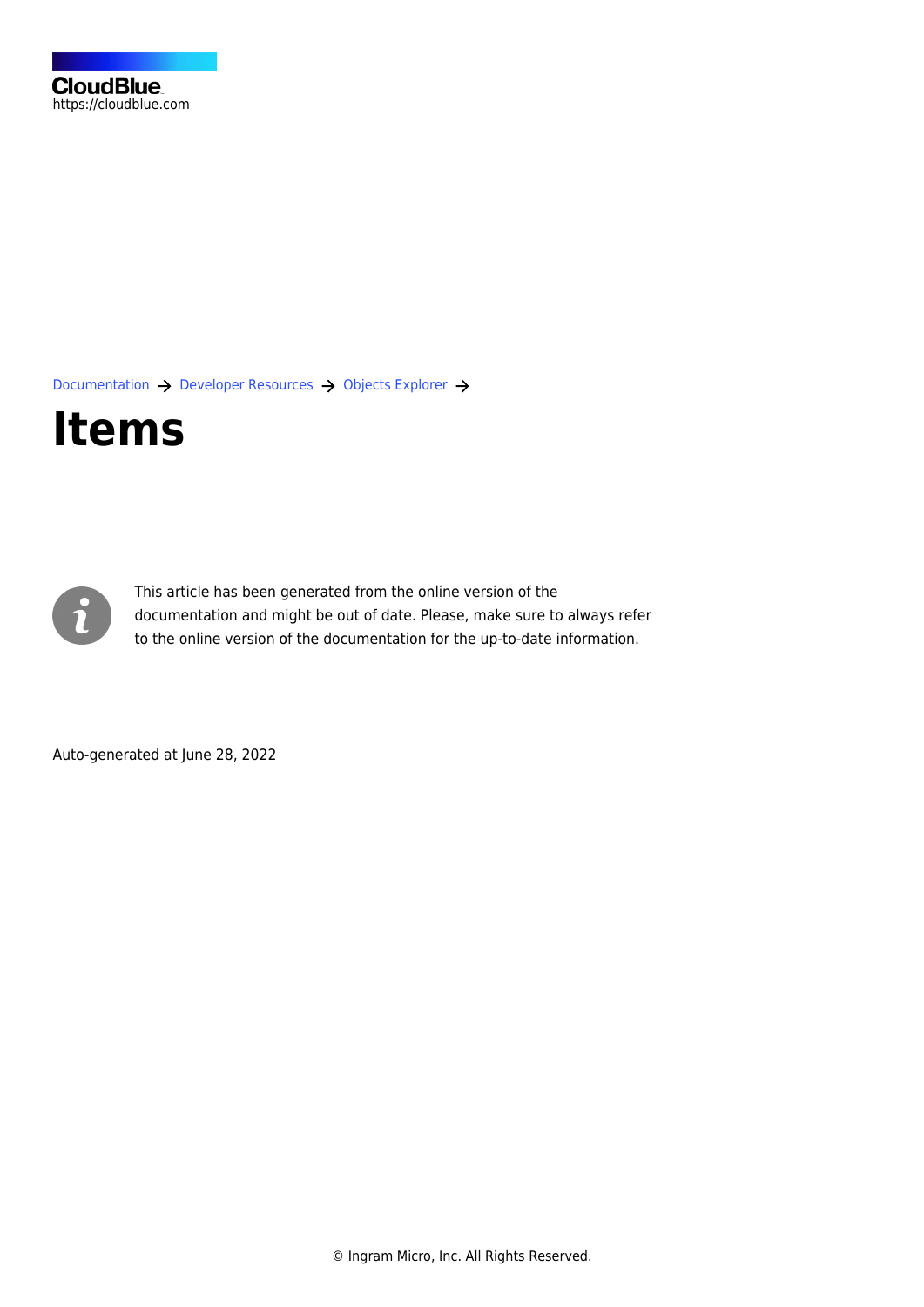[Documentation](https://connect.cloudblue.com/documentation)  $\rightarrow$  [Developer Resources](https://connect.cloudblue.com/community/developers/)  $\rightarrow$  [Objects Explorer](https://connect.cloudblue.com/community/developers/objects/)  $\rightarrow$ 

## **[Items](https://connect.cloudblue.com/community/developers/objects/items/)**



This article has been generated from the online version of the documentation and might be out of date. Please, make sure to always refer to the online version of the documentation for the up-to-date information.

Auto-generated at June 28, 2022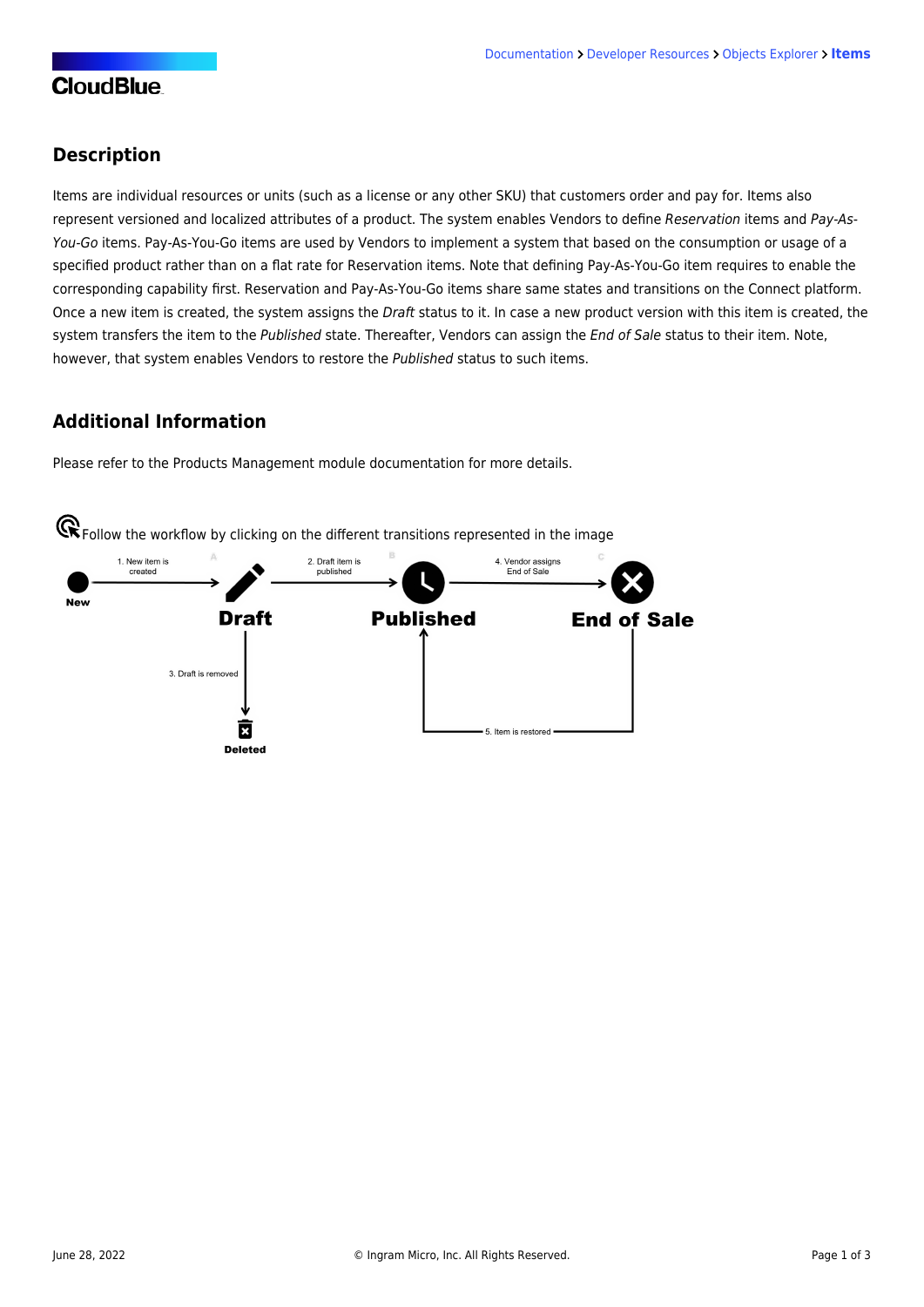## **CloudBlue**

## **Description**

Items are individual resources or units (such as a license or any other SKU) that customers order and pay for. Items also represent versioned and localized attributes of a product. The system enables Vendors to define Reservation items and Pay-As-You-Go items. Pay-As-You-Go items are used by Vendors to implement a system that based on the consumption or usage of a specified product rather than on a flat rate for Reservation items. Note that defining Pay-As-You-Go item requires to enable the corresponding capability first. Reservation and Pay-As-You-Go items share same states and transitions on the Connect platform. Once a new item is created, the system assigns the Draft status to it. In case a new product version with this item is created, the system transfers the item to the Published state. Thereafter, Vendors can assign the End of Sale status to their item. Note, however, that system enables Vendors to restore the Published status to such items.

## **Additional Information**

Please refer to the [Products Management module](https://connect.cloudblue.com/community/modules/products/items/) documentation for more details.

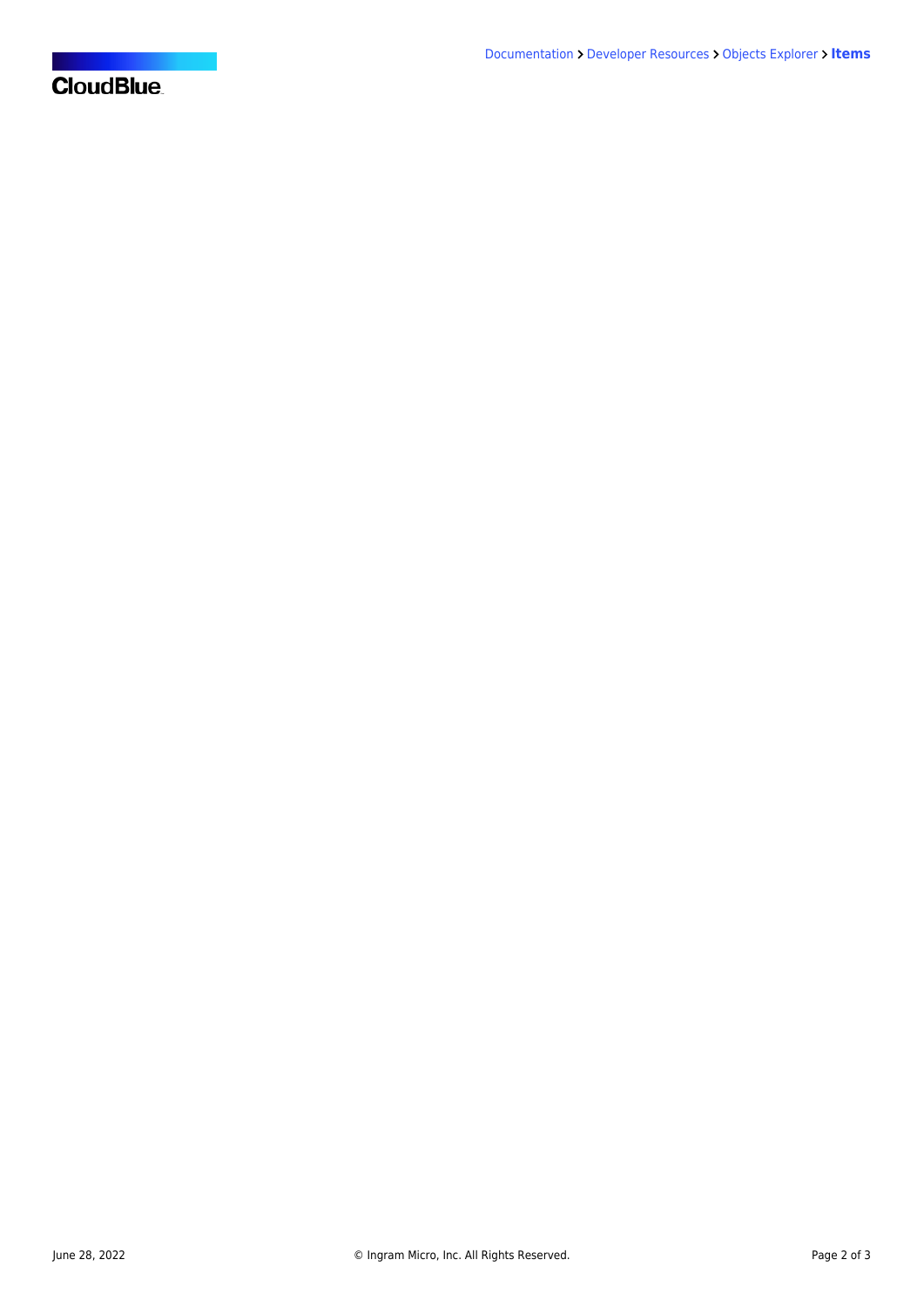**CloudBlue**